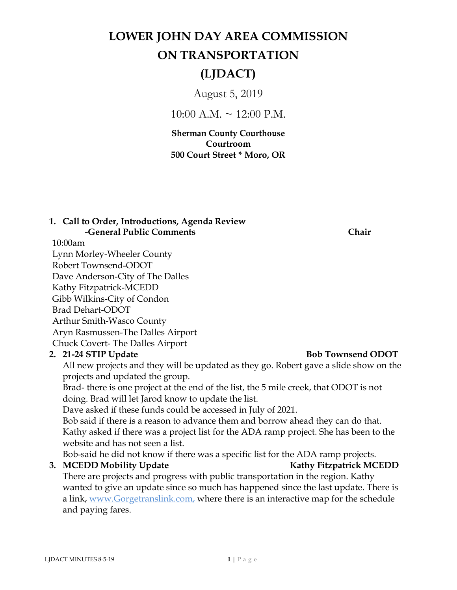# **LOWER JOHN DAY AREA COMMISSION ON TRANSPORTATION**

## **(LJDACT)**

August 5, 2019

 $10:00$  A.M.  $\sim$  12:00 P.M.

**Sherman County Courthouse Courtroom 500 Court Street \* Moro, OR** 

## **1. Call to Order, Introductions, Agenda Review -General Public Comments Chair**

10:00am

Lynn Morley-Wheeler County

Robert Townsend-ODOT

Dave Anderson-City of The Dalles

Kathy Fitzpatrick-MCEDD

Gibb Wilkins-City of Condon

Brad Dehart-ODOT

Arthur Smith-Wasco County

**3.**

Aryn Rasmussen-The Dalles Airport

Chuck Covert- The Dalles Airport

## **2.**

## **21-24 STIP Update Bob Townsend ODOT**

All new projects and they will be updated as they go. Robert gave a slide show on the projects and updated the group.

Brad- there is one project at the end of the list, the 5 mile creek, that ODOT is not doing. Brad will let Jarod know to update the list.

Dave asked if these funds could be accessed in July of 2021.

Bob said if there is a reason to advance them and borrow ahead they can do that. Kathy asked if there was a project list for the ADA ramp project. She has been to the website and has not seen a list.

Bob-said he did not know if there was a specific list for the ADA ramp projects.

## **MCEDD Mobility Update Kathy Fitzpatrick MCEDD**

There are projects and progress with public transportation in the region. Kathy wanted to give an update since so much has happened since the last update. There is a link, www.Gorgetranslink.com, where there is an interactive map for the schedule and paying fares.